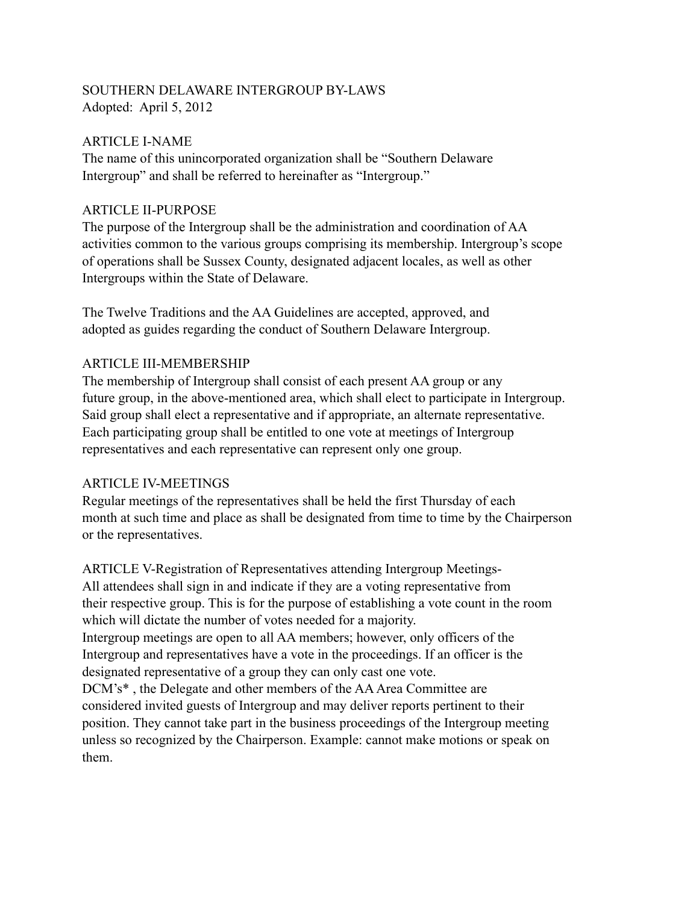## SOUTHERN DELAWARE INTERGROUP BY-LAWS Adopted: April 5, 2012

#### ARTICLE I-NAME

The name of this unincorporated organization shall be "Southern Delaware Intergroup" and shall be referred to hereinafter as "Intergroup."

#### ARTICLE II-PURPOSE

The purpose of the Intergroup shall be the administration and coordination of AA activities common to the various groups comprising its membership. Intergroup's scope of operations shall be Sussex County, designated adjacent locales, as well as other Intergroups within the State of Delaware.

The Twelve Traditions and the AA Guidelines are accepted, approved, and adopted as guides regarding the conduct of Southern Delaware Intergroup.

### ARTICLE III-MEMBERSHIP

The membership of Intergroup shall consist of each present AA group or any future group, in the above-mentioned area, which shall elect to participate in Intergroup. Said group shall elect a representative and if appropriate, an alternate representative. Each participating group shall be entitled to one vote at meetings of Intergroup representatives and each representative can represent only one group.

## ARTICLE IV-MEETINGS

Regular meetings of the representatives shall be held the first Thursday of each month at such time and place as shall be designated from time to time by the Chairperson or the representatives.

ARTICLE V-Registration of Representatives attending Intergroup Meetings-All attendees shall sign in and indicate if they are a voting representative from their respective group. This is for the purpose of establishing a vote count in the room which will dictate the number of votes needed for a majority. Intergroup meetings are open to all AA members; however, only officers of the Intergroup and representatives have a vote in the proceedings. If an officer is the designated representative of a group they can only cast one vote. DCM's\* , the Delegate and other members of the AA Area Committee are considered invited guests of Intergroup and may deliver reports pertinent to their position. They cannot take part in the business proceedings of the Intergroup meeting unless so recognized by the Chairperson. Example: cannot make motions or speak on them.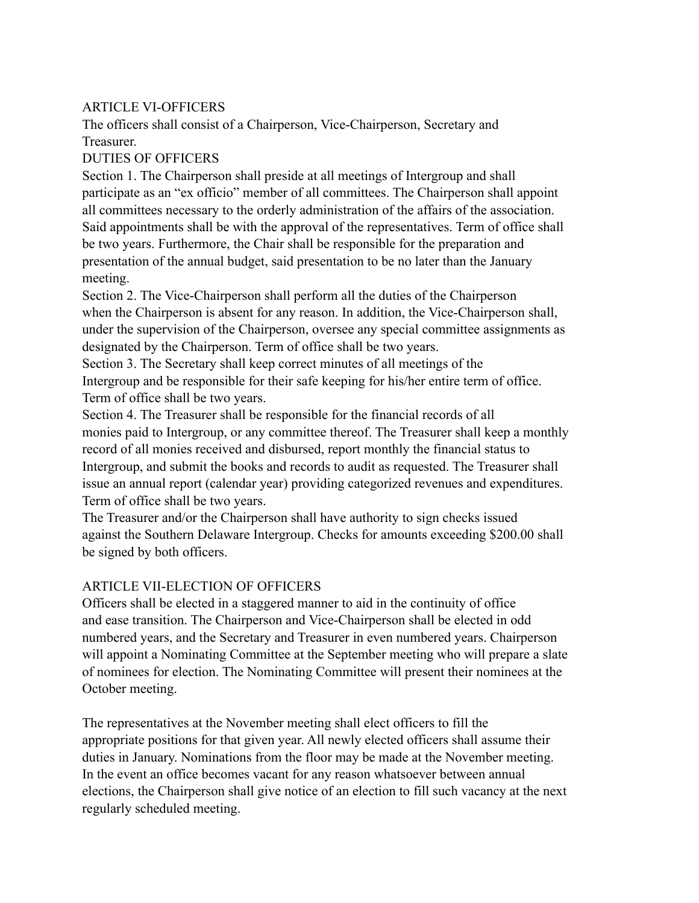### ARTICLE VI-OFFICERS

The officers shall consist of a Chairperson, Vice-Chairperson, Secretary and Treasurer.

### DUTIES OF OFFICERS

Section 1. The Chairperson shall preside at all meetings of Intergroup and shall participate as an "ex officio" member of all committees. The Chairperson shall appoint all committees necessary to the orderly administration of the affairs of the association. Said appointments shall be with the approval of the representatives. Term of office shall be two years. Furthermore, the Chair shall be responsible for the preparation and presentation of the annual budget, said presentation to be no later than the January meeting.

Section 2. The Vice-Chairperson shall perform all the duties of the Chairperson when the Chairperson is absent for any reason. In addition, the Vice-Chairperson shall, under the supervision of the Chairperson, oversee any special committee assignments as designated by the Chairperson. Term of office shall be two years.

Section 3. The Secretary shall keep correct minutes of all meetings of the Intergroup and be responsible for their safe keeping for his/her entire term of office. Term of office shall be two years.

Section 4. The Treasurer shall be responsible for the financial records of all monies paid to Intergroup, or any committee thereof. The Treasurer shall keep a monthly record of all monies received and disbursed, report monthly the financial status to Intergroup, and submit the books and records to audit as requested. The Treasurer shall issue an annual report (calendar year) providing categorized revenues and expenditures. Term of office shall be two years.

The Treasurer and/or the Chairperson shall have authority to sign checks issued against the Southern Delaware Intergroup. Checks for amounts exceeding \$200.00 shall be signed by both officers.

#### ARTICLE VII-ELECTION OF OFFICERS

Officers shall be elected in a staggered manner to aid in the continuity of office and ease transition. The Chairperson and Vice-Chairperson shall be elected in odd numbered years, and the Secretary and Treasurer in even numbered years. Chairperson will appoint a Nominating Committee at the September meeting who will prepare a slate of nominees for election. The Nominating Committee will present their nominees at the October meeting.

The representatives at the November meeting shall elect officers to fill the appropriate positions for that given year. All newly elected officers shall assume their duties in January. Nominations from the floor may be made at the November meeting. In the event an office becomes vacant for any reason whatsoever between annual elections, the Chairperson shall give notice of an election to fill such vacancy at the next regularly scheduled meeting.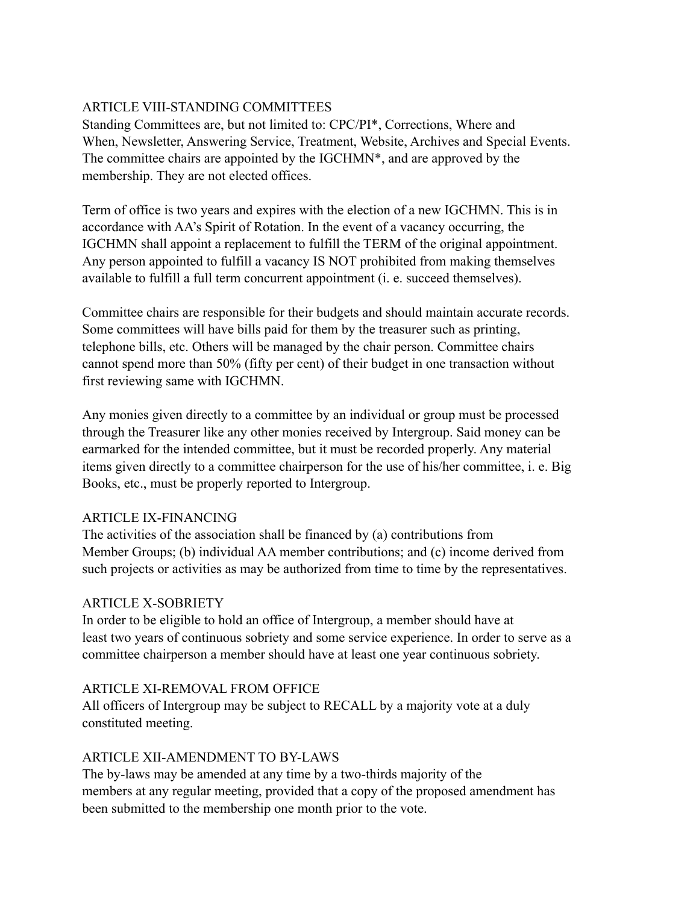# ARTICLE VIII-STANDING COMMITTEES

Standing Committees are, but not limited to: CPC/PI\*, Corrections, Where and When, Newsletter, Answering Service, Treatment, Website, Archives and Special Events. The committee chairs are appointed by the IGCHMN\*, and are approved by the membership. They are not elected offices.

Term of office is two years and expires with the election of a new IGCHMN. This is in accordance with AA's Spirit of Rotation. In the event of a vacancy occurring, the IGCHMN shall appoint a replacement to fulfill the TERM of the original appointment. Any person appointed to fulfill a vacancy IS NOT prohibited from making themselves available to fulfill a full term concurrent appointment (i. e. succeed themselves).

Committee chairs are responsible for their budgets and should maintain accurate records. Some committees will have bills paid for them by the treasurer such as printing, telephone bills, etc. Others will be managed by the chair person. Committee chairs cannot spend more than 50% (fifty per cent) of their budget in one transaction without first reviewing same with IGCHMN.

Any monies given directly to a committee by an individual or group must be processed through the Treasurer like any other monies received by Intergroup. Said money can be earmarked for the intended committee, but it must be recorded properly. Any material items given directly to a committee chairperson for the use of his/her committee, i. e. Big Books, etc., must be properly reported to Intergroup.

## ARTICLE IX-FINANCING

The activities of the association shall be financed by (a) contributions from Member Groups; (b) individual AA member contributions; and (c) income derived from such projects or activities as may be authorized from time to time by the representatives.

#### ARTICLE X-SOBRIETY

In order to be eligible to hold an office of Intergroup, a member should have at least two years of continuous sobriety and some service experience. In order to serve as a committee chairperson a member should have at least one year continuous sobriety.

#### ARTICLE XI-REMOVAL FROM OFFICE

All officers of Intergroup may be subject to RECALL by a majority vote at a duly constituted meeting.

## ARTICLE XII-AMENDMENT TO BY-LAWS

The by-laws may be amended at any time by a two-thirds majority of the members at any regular meeting, provided that a copy of the proposed amendment has been submitted to the membership one month prior to the vote.